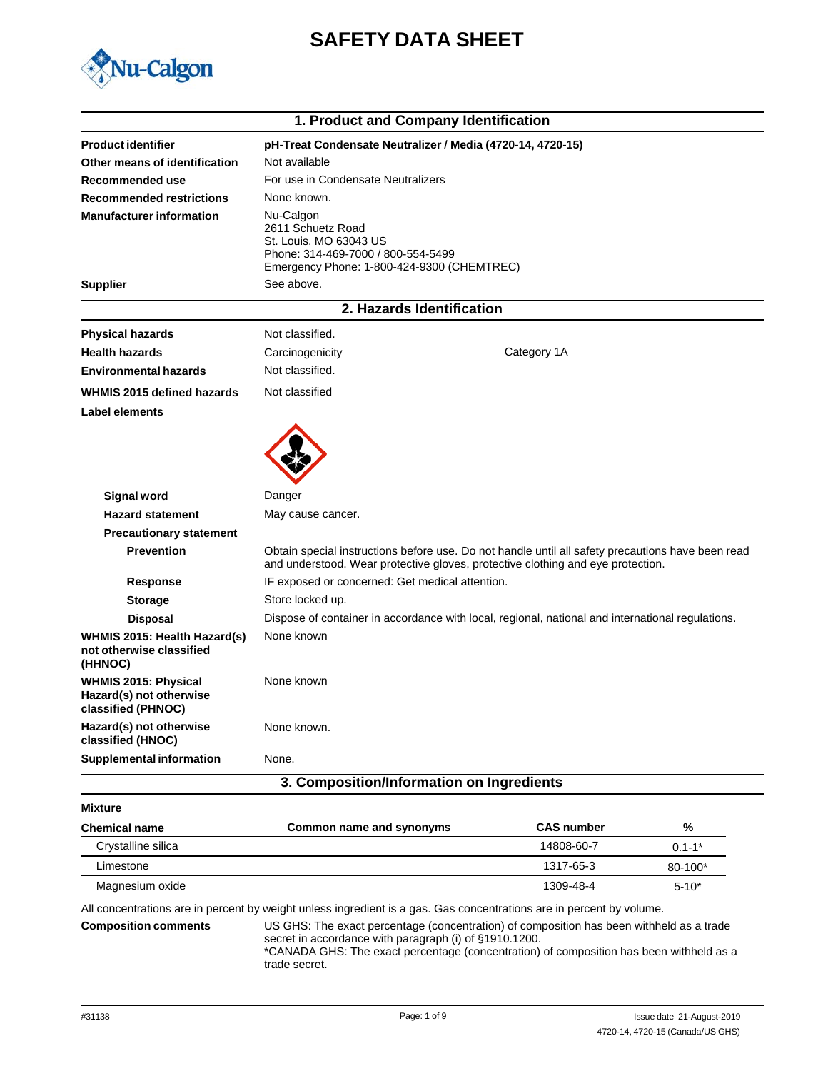



|                                                                              |                                                                                                                                              | 1. Product and Company Identification                                                                                                                                                |
|------------------------------------------------------------------------------|----------------------------------------------------------------------------------------------------------------------------------------------|--------------------------------------------------------------------------------------------------------------------------------------------------------------------------------------|
| <b>Product identifier</b>                                                    |                                                                                                                                              | pH-Treat Condensate Neutralizer / Media (4720-14, 4720-15)                                                                                                                           |
| Other means of identification                                                | Not available                                                                                                                                |                                                                                                                                                                                      |
| <b>Recommended use</b>                                                       | For use in Condensate Neutralizers                                                                                                           |                                                                                                                                                                                      |
| <b>Recommended restrictions</b>                                              | None known.                                                                                                                                  |                                                                                                                                                                                      |
| <b>Manufacturer information</b>                                              | Nu-Calgon<br>2611 Schuetz Road<br>St. Louis, MO 63043 US<br>Phone: 314-469-7000 / 800-554-5499<br>Emergency Phone: 1-800-424-9300 (CHEMTREC) |                                                                                                                                                                                      |
| <b>Supplier</b>                                                              | See above.                                                                                                                                   |                                                                                                                                                                                      |
|                                                                              |                                                                                                                                              | 2. Hazards Identification                                                                                                                                                            |
| <b>Physical hazards</b>                                                      | Not classified.                                                                                                                              |                                                                                                                                                                                      |
| <b>Health hazards</b>                                                        | Carcinogenicity                                                                                                                              | Category 1A                                                                                                                                                                          |
| <b>Environmental hazards</b>                                                 | Not classified.                                                                                                                              |                                                                                                                                                                                      |
| WHMIS 2015 defined hazards                                                   | Not classified                                                                                                                               |                                                                                                                                                                                      |
| Label elements                                                               |                                                                                                                                              |                                                                                                                                                                                      |
|                                                                              |                                                                                                                                              |                                                                                                                                                                                      |
| Signal word                                                                  | Danger                                                                                                                                       |                                                                                                                                                                                      |
| <b>Hazard statement</b>                                                      | May cause cancer.                                                                                                                            |                                                                                                                                                                                      |
| <b>Precautionary statement</b>                                               |                                                                                                                                              |                                                                                                                                                                                      |
| <b>Prevention</b>                                                            |                                                                                                                                              | Obtain special instructions before use. Do not handle until all safety precautions have been read<br>and understood. Wear protective gloves, protective clothing and eye protection. |
| <b>Response</b>                                                              | IF exposed or concerned: Get medical attention.                                                                                              |                                                                                                                                                                                      |
| <b>Storage</b>                                                               | Store locked up.                                                                                                                             |                                                                                                                                                                                      |
| <b>Disposal</b>                                                              |                                                                                                                                              | Dispose of container in accordance with local, regional, national and international regulations.                                                                                     |
| WHMIS 2015: Health Hazard(s)<br>not otherwise classified<br>(HHNOC)          | None known                                                                                                                                   |                                                                                                                                                                                      |
| <b>WHMIS 2015: Physical</b><br>Hazard(s) not otherwise<br>classified (PHNOC) | None known                                                                                                                                   |                                                                                                                                                                                      |
| Hazard(s) not otherwise<br>classified (HNOC)                                 | None known.                                                                                                                                  |                                                                                                                                                                                      |
| <b>Supplemental information</b>                                              | None.                                                                                                                                        |                                                                                                                                                                                      |
|                                                                              |                                                                                                                                              | 3. Composition/Information on Ingredients                                                                                                                                            |

### **Mixture**

| <b>Chemical name</b> | Common name and synonyms | <b>CAS number</b> | %          |
|----------------------|--------------------------|-------------------|------------|
| Crystalline silica   |                          | 14808-60-7        | $0.1 - 1*$ |
| Limestone            |                          | 1317-65-3         | 80-100*    |
| Magnesium oxide      |                          | 1309-48-4         | $5 - 10^*$ |

All concentrations are in percent by weight unless ingredient is a gas. Gas concentrations are in percent by volume.

**Composition comments** US GHS: The exact percentage (concentration) of composition has been withheld as a trade secret in accordance with paragraph (i) of §1910.1200. \*CANADA GHS: The exact percentage (concentration) of composition has been withheld as a

trade secret.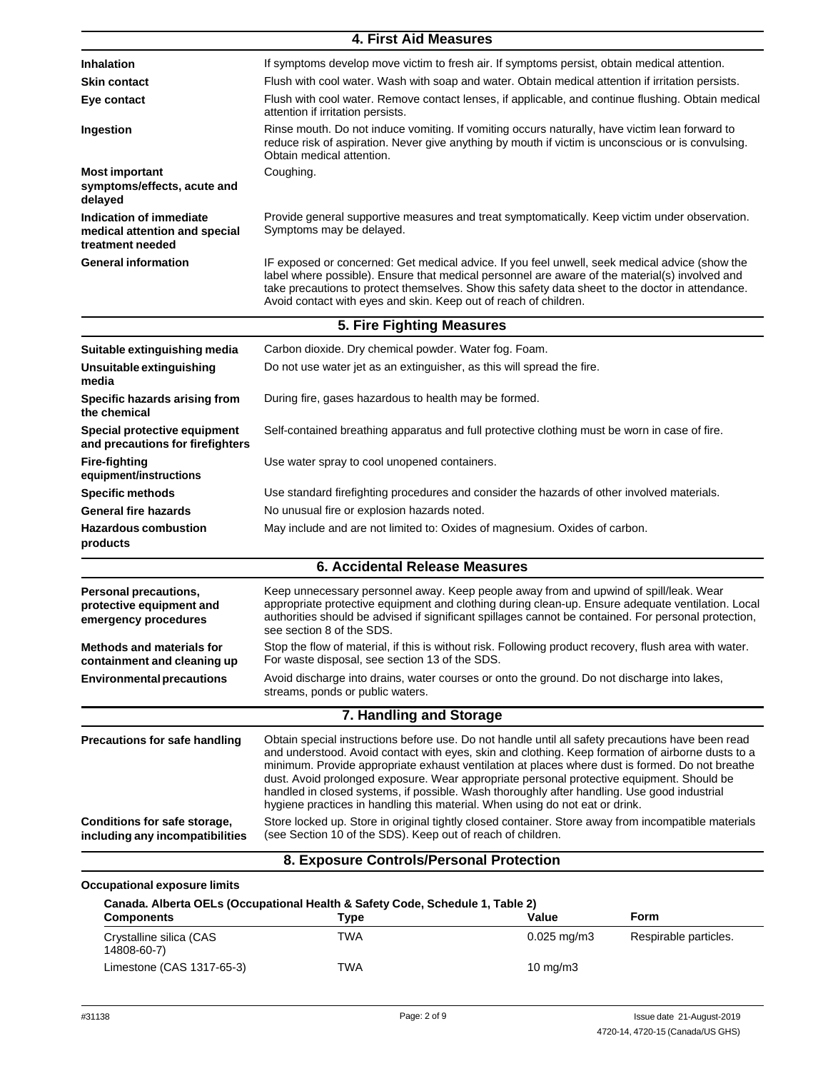|                                                                              | <b>4. First Aid Measures</b>                                                                                                                                                                                                                                                                                                                                                                                                                                                                                                                                                          |
|------------------------------------------------------------------------------|---------------------------------------------------------------------------------------------------------------------------------------------------------------------------------------------------------------------------------------------------------------------------------------------------------------------------------------------------------------------------------------------------------------------------------------------------------------------------------------------------------------------------------------------------------------------------------------|
| Inhalation                                                                   | If symptoms develop move victim to fresh air. If symptoms persist, obtain medical attention.                                                                                                                                                                                                                                                                                                                                                                                                                                                                                          |
| <b>Skin contact</b>                                                          | Flush with cool water. Wash with soap and water. Obtain medical attention if irritation persists.                                                                                                                                                                                                                                                                                                                                                                                                                                                                                     |
| Eye contact                                                                  | Flush with cool water. Remove contact lenses, if applicable, and continue flushing. Obtain medical<br>attention if irritation persists.                                                                                                                                                                                                                                                                                                                                                                                                                                               |
| Ingestion                                                                    | Rinse mouth. Do not induce vomiting. If vomiting occurs naturally, have victim lean forward to<br>reduce risk of aspiration. Never give anything by mouth if victim is unconscious or is convulsing.<br>Obtain medical attention.                                                                                                                                                                                                                                                                                                                                                     |
| <b>Most important</b><br>symptoms/effects, acute and<br>delayed              | Coughing.                                                                                                                                                                                                                                                                                                                                                                                                                                                                                                                                                                             |
| Indication of immediate<br>medical attention and special<br>treatment needed | Provide general supportive measures and treat symptomatically. Keep victim under observation.<br>Symptoms may be delayed.                                                                                                                                                                                                                                                                                                                                                                                                                                                             |
| <b>General information</b>                                                   | IF exposed or concerned: Get medical advice. If you feel unwell, seek medical advice (show the<br>label where possible). Ensure that medical personnel are aware of the material(s) involved and<br>take precautions to protect themselves. Show this safety data sheet to the doctor in attendance.<br>Avoid contact with eyes and skin. Keep out of reach of children.                                                                                                                                                                                                              |
|                                                                              | 5. Fire Fighting Measures                                                                                                                                                                                                                                                                                                                                                                                                                                                                                                                                                             |
| Suitable extinguishing media                                                 | Carbon dioxide. Dry chemical powder. Water fog. Foam.                                                                                                                                                                                                                                                                                                                                                                                                                                                                                                                                 |
| Unsuitable extinguishing<br>media                                            | Do not use water jet as an extinguisher, as this will spread the fire.                                                                                                                                                                                                                                                                                                                                                                                                                                                                                                                |
| Specific hazards arising from<br>the chemical                                | During fire, gases hazardous to health may be formed.                                                                                                                                                                                                                                                                                                                                                                                                                                                                                                                                 |
| Special protective equipment<br>and precautions for firefighters             | Self-contained breathing apparatus and full protective clothing must be worn in case of fire.                                                                                                                                                                                                                                                                                                                                                                                                                                                                                         |
| <b>Fire-fighting</b><br>equipment/instructions                               | Use water spray to cool unopened containers.                                                                                                                                                                                                                                                                                                                                                                                                                                                                                                                                          |
| <b>Specific methods</b>                                                      | Use standard firefighting procedures and consider the hazards of other involved materials.                                                                                                                                                                                                                                                                                                                                                                                                                                                                                            |
| <b>General fire hazards</b>                                                  | No unusual fire or explosion hazards noted.                                                                                                                                                                                                                                                                                                                                                                                                                                                                                                                                           |
| <b>Hazardous combustion</b><br>products                                      | May include and are not limited to: Oxides of magnesium. Oxides of carbon.                                                                                                                                                                                                                                                                                                                                                                                                                                                                                                            |
|                                                                              | <b>6. Accidental Release Measures</b>                                                                                                                                                                                                                                                                                                                                                                                                                                                                                                                                                 |
| Personal precautions,<br>protective equipment and<br>emergency procedures    | Keep unnecessary personnel away. Keep people away from and upwind of spill/leak. Wear<br>appropriate protective equipment and clothing during clean-up. Ensure adequate ventilation. Local<br>authorities should be advised if significant spillages cannot be contained. For personal protection,<br>see section 8 of the SDS.                                                                                                                                                                                                                                                       |
| <b>Methods and materials for</b><br>containment and cleaning up              | Stop the flow of material, if this is without risk. Following product recovery, flush area with water.<br>For waste disposal, see section 13 of the SDS.                                                                                                                                                                                                                                                                                                                                                                                                                              |
| <b>Environmental precautions</b>                                             | Avoid discharge into drains, water courses or onto the ground. Do not discharge into lakes,<br>streams, ponds or public waters.                                                                                                                                                                                                                                                                                                                                                                                                                                                       |
|                                                                              | 7. Handling and Storage                                                                                                                                                                                                                                                                                                                                                                                                                                                                                                                                                               |
| Precautions for safe handling                                                | Obtain special instructions before use. Do not handle until all safety precautions have been read<br>and understood. Avoid contact with eyes, skin and clothing. Keep formation of airborne dusts to a<br>minimum. Provide appropriate exhaust ventilation at places where dust is formed. Do not breathe<br>dust. Avoid prolonged exposure. Wear appropriate personal protective equipment. Should be<br>handled in closed systems, if possible. Wash thoroughly after handling. Use good industrial<br>hygiene practices in handling this material. When using do not eat or drink. |
| Conditions for safe storage,<br>including any incompatibilities              | Store locked up. Store in original tightly closed container. Store away from incompatible materials<br>(see Section 10 of the SDS). Keep out of reach of children.                                                                                                                                                                                                                                                                                                                                                                                                                    |
|                                                                              | 8. Exposure Controls/Personal Protection                                                                                                                                                                                                                                                                                                                                                                                                                                                                                                                                              |
|                                                                              |                                                                                                                                                                                                                                                                                                                                                                                                                                                                                                                                                                                       |

### **Occupational exposure limits**

| Canada. Alberta OELs (Occupational Health & Safety Code, Schedule 1, Table 2) |      |                        |                       |  |
|-------------------------------------------------------------------------------|------|------------------------|-----------------------|--|
| <b>Components</b>                                                             | Tvpe | Value                  | Form                  |  |
| Crystalline silica (CAS<br>14808-60-7)                                        | TWA  | $0.025 \text{ mg/m}$ 3 | Respirable particles. |  |
| Limestone (CAS 1317-65-3)                                                     | TWA  | $10 \text{ mg/m}$      |                       |  |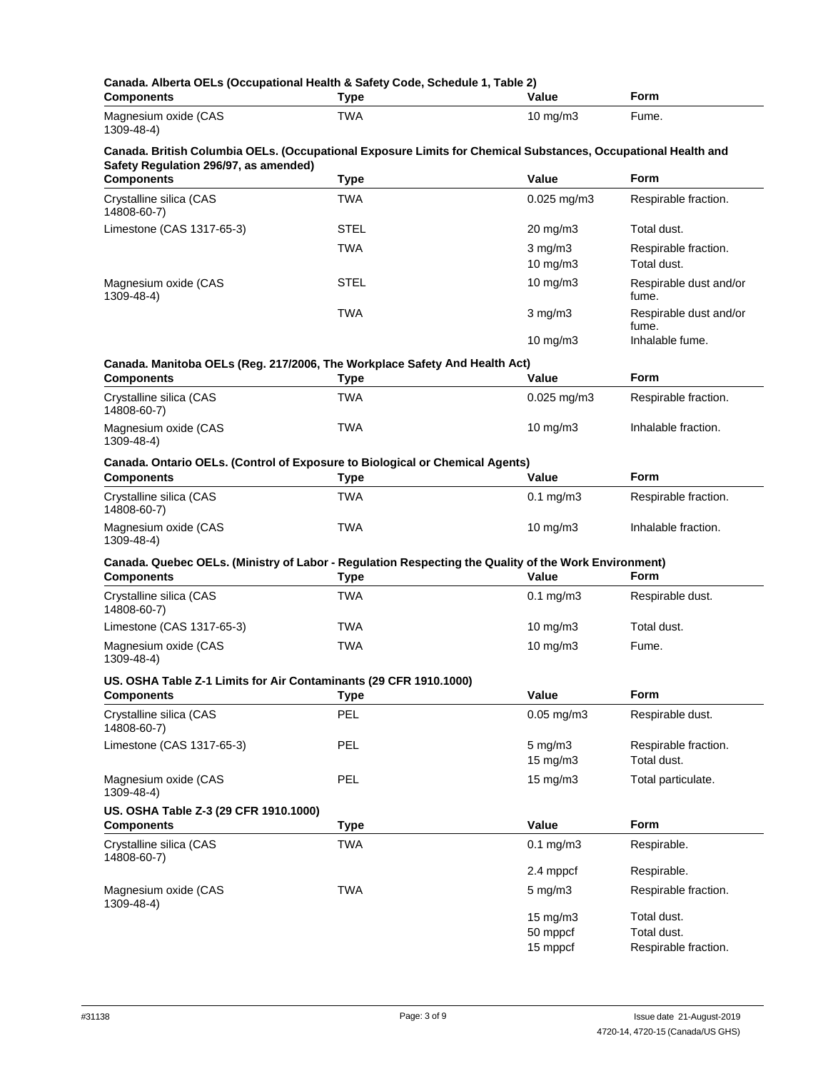| <b>Components</b>                                                 | Canada. Alberta OELs (Occupational Health & Safety Code, Schedule 1, Table 2)<br><b>Type</b>                        | Value             | Form                                |
|-------------------------------------------------------------------|---------------------------------------------------------------------------------------------------------------------|-------------------|-------------------------------------|
| Magnesium oxide (CAS<br>1309-48-4)                                | <b>TWA</b>                                                                                                          | $10 \text{ mg/m}$ | Fume.                               |
| Safety Regulation 296/97, as amended)                             | Canada. British Columbia OELs. (Occupational Exposure Limits for Chemical Substances, Occupational Health and       |                   |                                     |
| <b>Components</b>                                                 | <b>Type</b>                                                                                                         | Value             | <b>Form</b>                         |
| Crystalline silica (CAS<br>14808-60-7)                            | <b>TWA</b>                                                                                                          | $0.025$ mg/m $3$  | Respirable fraction.                |
| Limestone (CAS 1317-65-3)                                         | STEL                                                                                                                | 20 mg/m3          | Total dust.                         |
|                                                                   | <b>TWA</b>                                                                                                          | $3$ mg/m $3$      | Respirable fraction.                |
|                                                                   |                                                                                                                     | 10 mg/m3          | Total dust.                         |
| Magnesium oxide (CAS<br>1309-48-4)                                | <b>STEL</b>                                                                                                         | $10$ mg/m $3$     | Respirable dust and/or<br>fume.     |
|                                                                   | <b>TWA</b>                                                                                                          | $3$ mg/m $3$      | Respirable dust and/or<br>fume.     |
|                                                                   |                                                                                                                     | $10 \text{ mg/m}$ | Inhalable fume.                     |
|                                                                   | Canada. Manitoba OELs (Reg. 217/2006, The Workplace Safety And Health Act)                                          |                   |                                     |
| <b>Components</b>                                                 | <b>Type</b>                                                                                                         | Value             | <b>Form</b>                         |
| Crystalline silica (CAS<br>14808-60-7)                            | TWA                                                                                                                 | $0.025$ mg/m3     | Respirable fraction.                |
| Magnesium oxide (CAS<br>1309-48-4)                                | <b>TWA</b>                                                                                                          | $10$ mg/m $3$     | Inhalable fraction.                 |
|                                                                   | Canada. Ontario OELs. (Control of Exposure to Biological or Chemical Agents)                                        |                   |                                     |
| <b>Components</b>                                                 | <b>Type</b>                                                                                                         | Value             | <b>Form</b>                         |
| Crystalline silica (CAS<br>14808-60-7)                            | TWA                                                                                                                 | $0.1$ mg/m $3$    | Respirable fraction.                |
| Magnesium oxide (CAS<br>1309-48-4)                                | <b>TWA</b>                                                                                                          | 10 mg/m3          | Inhalable fraction.                 |
| <b>Components</b>                                                 | Canada. Quebec OELs. (Ministry of Labor - Regulation Respecting the Quality of the Work Environment)<br><b>Type</b> | Value             | <b>Form</b>                         |
| Crystalline silica (CAS<br>14808-60-7)                            | TWA                                                                                                                 | $0.1$ mg/m $3$    | Respirable dust.                    |
| Limestone (CAS 1317-65-3)                                         | TWA                                                                                                                 | 10 mg/m3          | Total dust.                         |
| Magnesium oxide (CAS<br>1309-48-4)                                | <b>TWA</b>                                                                                                          | $10$ mg/m $3$     | Fume.                               |
| US. OSHA Table Z-1 Limits for Air Contaminants (29 CFR 1910.1000) |                                                                                                                     |                   |                                     |
| <b>Components</b>                                                 | <b>Type</b>                                                                                                         | Value             | Form                                |
| Crystalline silica (CAS<br>14808-60-7)                            | <b>PEL</b>                                                                                                          | $0.05$ mg/m $3$   | Respirable dust.                    |
| Limestone (CAS 1317-65-3)                                         | <b>PEL</b>                                                                                                          | $5$ mg/m $3$      | Respirable fraction.<br>Total dust. |
| Magnesium oxide (CAS                                              | PEL                                                                                                                 | 15 mg/m3          |                                     |
| 1309-48-4)                                                        |                                                                                                                     | $15 \text{ mg/m}$ | Total particulate.                  |
| US. OSHA Table Z-3 (29 CFR 1910.1000)<br><b>Components</b>        | Type                                                                                                                | Value             | Form                                |
| Crystalline silica (CAS                                           | <b>TWA</b>                                                                                                          | $0.1$ mg/m $3$    | Respirable.                         |
| 14808-60-7)                                                       |                                                                                                                     | 2.4 mppcf         | Respirable.                         |
| Magnesium oxide (CAS                                              | <b>TWA</b>                                                                                                          | $5$ mg/m $3$      | Respirable fraction.                |
| 1309-48-4)                                                        |                                                                                                                     |                   |                                     |
|                                                                   |                                                                                                                     | 15 mg/m3          | Total dust.                         |
|                                                                   |                                                                                                                     | 50 mppcf          | Total dust.                         |
|                                                                   |                                                                                                                     | 15 mppcf          | Respirable fraction.                |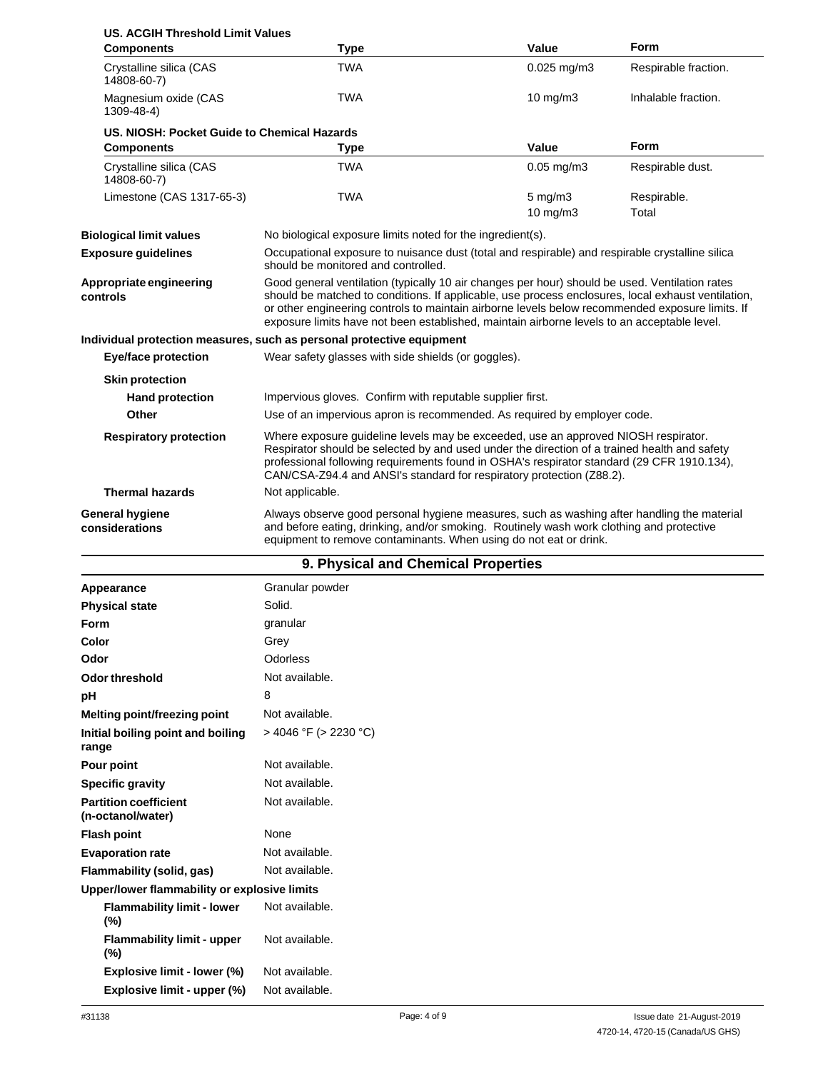| <b>US. ACGIH Threshold Limit Values</b>     |                                                                                                                                                                                                                                                                                                                                                                                                        |                                         |                      |
|---------------------------------------------|--------------------------------------------------------------------------------------------------------------------------------------------------------------------------------------------------------------------------------------------------------------------------------------------------------------------------------------------------------------------------------------------------------|-----------------------------------------|----------------------|
| <b>Components</b>                           | <b>Type</b>                                                                                                                                                                                                                                                                                                                                                                                            | Value                                   | <b>Form</b>          |
| Crystalline silica (CAS<br>14808-60-7)      | <b>TWA</b>                                                                                                                                                                                                                                                                                                                                                                                             | $0.025$ mg/m3                           | Respirable fraction. |
| Magnesium oxide (CAS<br>1309-48-4)          | <b>TWA</b>                                                                                                                                                                                                                                                                                                                                                                                             | 10 $mg/m3$                              | Inhalable fraction.  |
| US. NIOSH: Pocket Guide to Chemical Hazards |                                                                                                                                                                                                                                                                                                                                                                                                        |                                         |                      |
| <b>Components</b>                           | <b>Type</b>                                                                                                                                                                                                                                                                                                                                                                                            | Value                                   | <b>Form</b>          |
| Crystalline silica (CAS<br>14808-60-7)      | <b>TWA</b>                                                                                                                                                                                                                                                                                                                                                                                             | $0.05$ mg/m $3$                         | Respirable dust.     |
| Limestone (CAS 1317-65-3)                   | <b>TWA</b>                                                                                                                                                                                                                                                                                                                                                                                             | $5 \text{ mg/m}$ 3<br>$10 \text{ mg/m}$ | Respirable.<br>Total |
| <b>Biological limit values</b>              | No biological exposure limits noted for the ingredient(s).                                                                                                                                                                                                                                                                                                                                             |                                         |                      |
| <b>Exposure guidelines</b>                  | Occupational exposure to nuisance dust (total and respirable) and respirable crystalline silica<br>should be monitored and controlled.                                                                                                                                                                                                                                                                 |                                         |                      |
| Appropriate engineering<br>controls         | Good general ventilation (typically 10 air changes per hour) should be used. Ventilation rates<br>should be matched to conditions. If applicable, use process enclosures, local exhaust ventilation,<br>or other engineering controls to maintain airborne levels below recommended exposure limits. If<br>exposure limits have not been established, maintain airborne levels to an acceptable level. |                                         |                      |
|                                             | Individual protection measures, such as personal protective equipment                                                                                                                                                                                                                                                                                                                                  |                                         |                      |
| Eye/face protection                         | Wear safety glasses with side shields (or goggles).                                                                                                                                                                                                                                                                                                                                                    |                                         |                      |
| <b>Skin protection</b>                      |                                                                                                                                                                                                                                                                                                                                                                                                        |                                         |                      |
| <b>Hand protection</b>                      | Impervious gloves. Confirm with reputable supplier first.                                                                                                                                                                                                                                                                                                                                              |                                         |                      |
| Other                                       | Use of an impervious apron is recommended. As required by employer code.                                                                                                                                                                                                                                                                                                                               |                                         |                      |
| <b>Respiratory protection</b>               | Where exposure guideline levels may be exceeded, use an approved NIOSH respirator.<br>Respirator should be selected by and used under the direction of a trained health and safety<br>professional following requirements found in OSHA's respirator standard (29 CFR 1910.134),<br>CAN/CSA-Z94.4 and ANSI's standard for respiratory protection (Z88.2).                                              |                                         |                      |
| <b>Thermal hazards</b>                      | Not applicable.                                                                                                                                                                                                                                                                                                                                                                                        |                                         |                      |
| <b>General hygiene</b><br>considerations    | Always observe good personal hygiene measures, such as washing after handling the material<br>and before eating, drinking, and/or smoking. Routinely wash work clothing and protective<br>equipment to remove contaminants. When using do not eat or drink.                                                                                                                                            |                                         |                      |

| 9. Physical and Chemical Properties |  |  |  |  |  |
|-------------------------------------|--|--|--|--|--|
|-------------------------------------|--|--|--|--|--|

| Appearance                                        | Granular powder            |
|---------------------------------------------------|----------------------------|
| <b>Physical state</b>                             | Solid.                     |
| <b>Form</b>                                       | granular                   |
| Color                                             | Grey                       |
| Odor                                              | Odorless                   |
| <b>Odor threshold</b>                             | Not available.             |
| pH                                                | 8                          |
| Melting point/freezing point                      | Not available.             |
| Initial boiling point and boiling<br>range        | $>$ 4046 °F ( $>$ 2230 °C) |
| Pour point                                        | Not available.             |
| <b>Specific gravity</b>                           | Not available.             |
| <b>Partition coefficient</b><br>(n-octanol/water) | Not available.             |
| <b>Flash point</b>                                | None                       |
| <b>Evaporation rate</b>                           | Not available.             |
| Flammability (solid, gas)                         | Not available.             |
| Upper/lower flammability or explosive limits      |                            |
| <b>Flammability limit - lower</b><br>$(\%)$       | Not available.             |
| <b>Flammability limit - upper</b><br>$(\%)$       | Not available.             |
| Explosive limit - lower (%)                       | Not available.             |
| Explosive limit - upper (%)                       | Not available.             |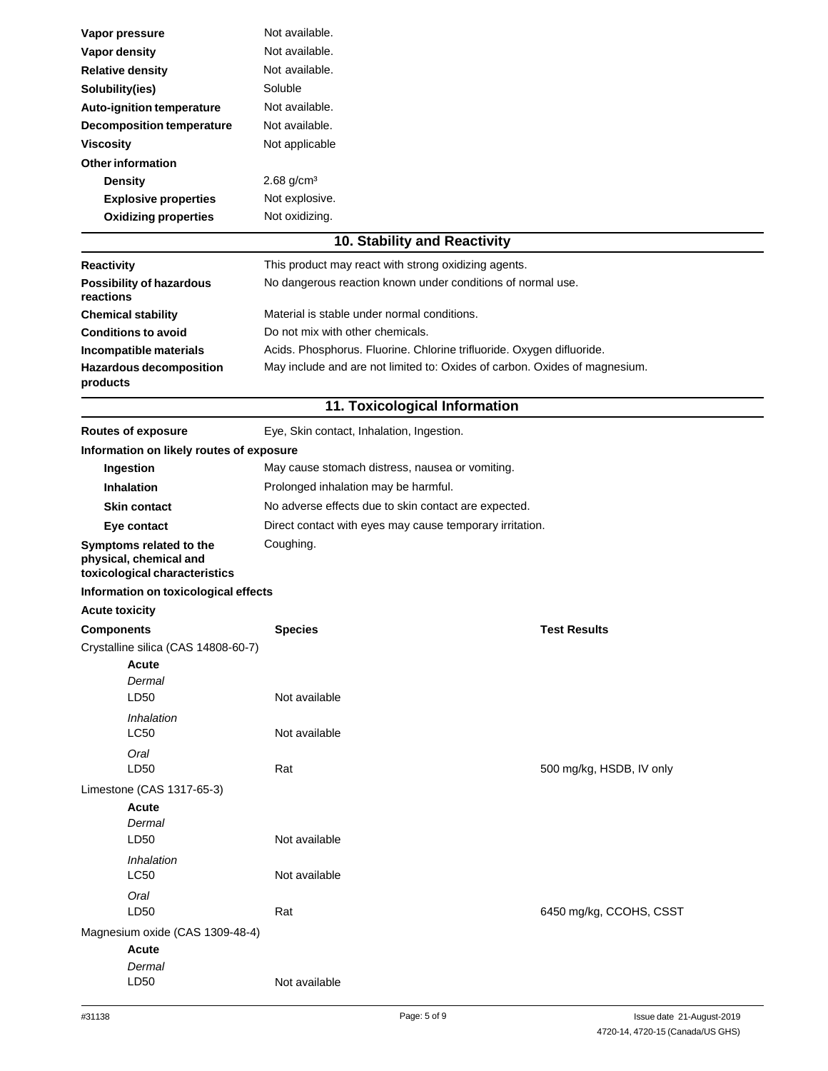| Vapor pressure                                                                     | Not available.                                                             |                          |
|------------------------------------------------------------------------------------|----------------------------------------------------------------------------|--------------------------|
| <b>Vapor density</b>                                                               | Not available.                                                             |                          |
| <b>Relative density</b>                                                            | Not available.                                                             |                          |
| Solubility(ies)                                                                    | Soluble                                                                    |                          |
| Auto-ignition temperature                                                          | Not available.                                                             |                          |
| <b>Decomposition temperature</b>                                                   | Not available.                                                             |                          |
| <b>Viscosity</b>                                                                   | Not applicable                                                             |                          |
| <b>Other information</b>                                                           |                                                                            |                          |
| <b>Density</b>                                                                     | $2.68$ g/cm <sup>3</sup>                                                   |                          |
| <b>Explosive properties</b>                                                        | Not explosive.                                                             |                          |
| <b>Oxidizing properties</b>                                                        | Not oxidizing.                                                             |                          |
|                                                                                    | 10. Stability and Reactivity                                               |                          |
| <b>Reactivity</b>                                                                  | This product may react with strong oxidizing agents.                       |                          |
| <b>Possibility of hazardous</b><br>reactions                                       | No dangerous reaction known under conditions of normal use.                |                          |
| <b>Chemical stability</b>                                                          | Material is stable under normal conditions.                                |                          |
| <b>Conditions to avoid</b>                                                         | Do not mix with other chemicals.                                           |                          |
| Incompatible materials                                                             | Acids. Phosphorus. Fluorine. Chlorine trifluoride. Oxygen difluoride.      |                          |
| <b>Hazardous decomposition</b><br>products                                         | May include and are not limited to: Oxides of carbon. Oxides of magnesium. |                          |
|                                                                                    | 11. Toxicological Information                                              |                          |
| <b>Routes of exposure</b>                                                          | Eye, Skin contact, Inhalation, Ingestion.                                  |                          |
| Information on likely routes of exposure                                           |                                                                            |                          |
| Ingestion                                                                          | May cause stomach distress, nausea or vomiting.                            |                          |
| <b>Inhalation</b>                                                                  | Prolonged inhalation may be harmful.                                       |                          |
| <b>Skin contact</b>                                                                | No adverse effects due to skin contact are expected.                       |                          |
| Eye contact                                                                        | Direct contact with eyes may cause temporary irritation.                   |                          |
| Symptoms related to the<br>physical, chemical and<br>toxicological characteristics | Coughing.                                                                  |                          |
| Information on toxicological effects                                               |                                                                            |                          |
| <b>Acute toxicity</b>                                                              |                                                                            |                          |
| <b>Components</b>                                                                  | <b>Species</b>                                                             | <b>Test Results</b>      |
| Crystalline silica (CAS 14808-60-7)                                                |                                                                            |                          |
| Acute                                                                              |                                                                            |                          |
| Dermal                                                                             |                                                                            |                          |
| LD50                                                                               | Not available                                                              |                          |
| Inhalation<br>LC50                                                                 | Not available                                                              |                          |
| Oral<br>LD50                                                                       | Rat                                                                        | 500 mg/kg, HSDB, IV only |
| Limestone (CAS 1317-65-3)                                                          |                                                                            |                          |
| <b>Acute</b>                                                                       |                                                                            |                          |
| Dermal                                                                             |                                                                            |                          |
| LD <sub>50</sub>                                                                   | Not available                                                              |                          |
| Inhalation<br><b>LC50</b>                                                          | Not available                                                              |                          |
| Oral<br>LD50                                                                       | Rat                                                                        | 6450 mg/kg, CCOHS, CSST  |
| Magnesium oxide (CAS 1309-48-4)                                                    |                                                                            |                          |
| <b>Acute</b>                                                                       |                                                                            |                          |
| Dermal                                                                             |                                                                            |                          |
| LD50                                                                               | Not available                                                              |                          |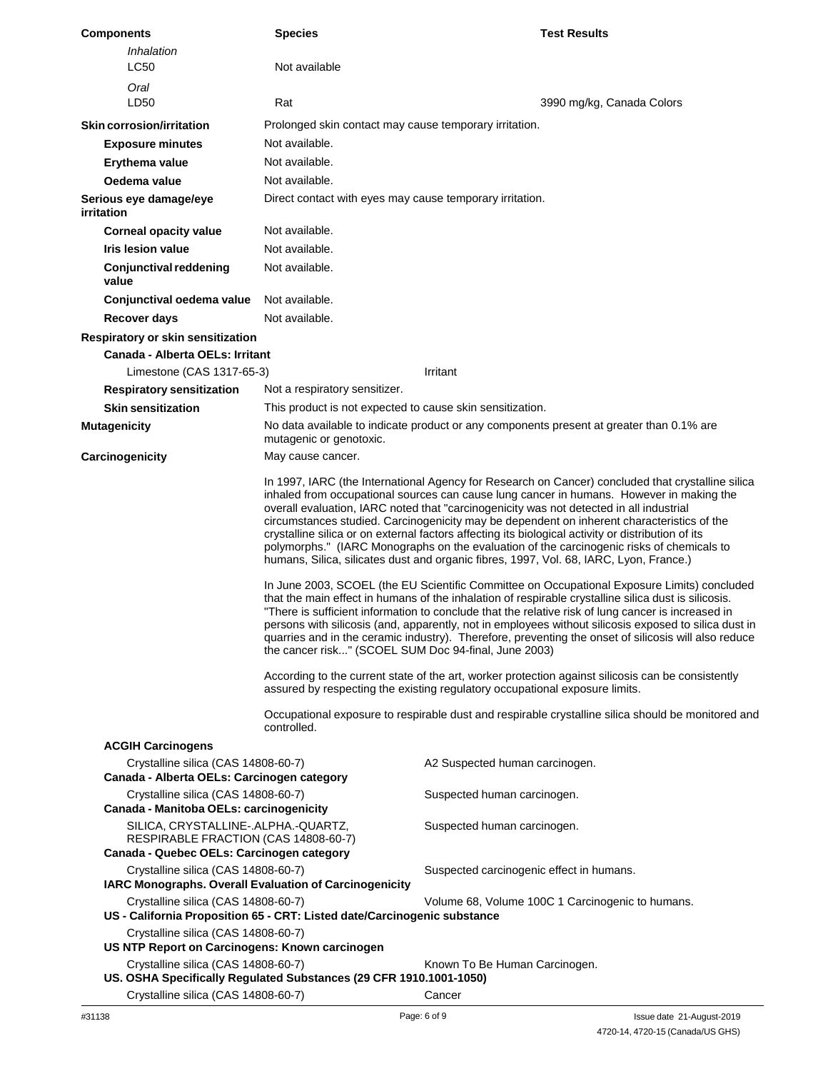| <b>Components</b>                                                                             | <b>Species</b>                                                           | <b>Test Results</b>                                                                                                                                                                                                                                                                                                                                                                                                                                                                                                                                                                                                                                                                                                                                                                                                                                                                                                                                                                                                                                                                                                                                                                                                                                                                                         |
|-----------------------------------------------------------------------------------------------|--------------------------------------------------------------------------|-------------------------------------------------------------------------------------------------------------------------------------------------------------------------------------------------------------------------------------------------------------------------------------------------------------------------------------------------------------------------------------------------------------------------------------------------------------------------------------------------------------------------------------------------------------------------------------------------------------------------------------------------------------------------------------------------------------------------------------------------------------------------------------------------------------------------------------------------------------------------------------------------------------------------------------------------------------------------------------------------------------------------------------------------------------------------------------------------------------------------------------------------------------------------------------------------------------------------------------------------------------------------------------------------------------|
| Inhalation                                                                                    |                                                                          |                                                                                                                                                                                                                                                                                                                                                                                                                                                                                                                                                                                                                                                                                                                                                                                                                                                                                                                                                                                                                                                                                                                                                                                                                                                                                                             |
| <b>LC50</b>                                                                                   | Not available                                                            |                                                                                                                                                                                                                                                                                                                                                                                                                                                                                                                                                                                                                                                                                                                                                                                                                                                                                                                                                                                                                                                                                                                                                                                                                                                                                                             |
| Oral                                                                                          |                                                                          |                                                                                                                                                                                                                                                                                                                                                                                                                                                                                                                                                                                                                                                                                                                                                                                                                                                                                                                                                                                                                                                                                                                                                                                                                                                                                                             |
| LD50                                                                                          | Rat                                                                      | 3990 mg/kg, Canada Colors                                                                                                                                                                                                                                                                                                                                                                                                                                                                                                                                                                                                                                                                                                                                                                                                                                                                                                                                                                                                                                                                                                                                                                                                                                                                                   |
| Skin corrosion/irritation                                                                     | Prolonged skin contact may cause temporary irritation.                   |                                                                                                                                                                                                                                                                                                                                                                                                                                                                                                                                                                                                                                                                                                                                                                                                                                                                                                                                                                                                                                                                                                                                                                                                                                                                                                             |
| <b>Exposure minutes</b>                                                                       | Not available.                                                           |                                                                                                                                                                                                                                                                                                                                                                                                                                                                                                                                                                                                                                                                                                                                                                                                                                                                                                                                                                                                                                                                                                                                                                                                                                                                                                             |
| Erythema value                                                                                | Not available.                                                           |                                                                                                                                                                                                                                                                                                                                                                                                                                                                                                                                                                                                                                                                                                                                                                                                                                                                                                                                                                                                                                                                                                                                                                                                                                                                                                             |
| Oedema value                                                                                  | Not available.                                                           |                                                                                                                                                                                                                                                                                                                                                                                                                                                                                                                                                                                                                                                                                                                                                                                                                                                                                                                                                                                                                                                                                                                                                                                                                                                                                                             |
| Serious eye damage/eye<br>irritation                                                          | Direct contact with eyes may cause temporary irritation.                 |                                                                                                                                                                                                                                                                                                                                                                                                                                                                                                                                                                                                                                                                                                                                                                                                                                                                                                                                                                                                                                                                                                                                                                                                                                                                                                             |
| <b>Corneal opacity value</b>                                                                  | Not available.                                                           |                                                                                                                                                                                                                                                                                                                                                                                                                                                                                                                                                                                                                                                                                                                                                                                                                                                                                                                                                                                                                                                                                                                                                                                                                                                                                                             |
| Iris lesion value                                                                             | Not available.                                                           |                                                                                                                                                                                                                                                                                                                                                                                                                                                                                                                                                                                                                                                                                                                                                                                                                                                                                                                                                                                                                                                                                                                                                                                                                                                                                                             |
| Conjunctival reddening<br>value                                                               | Not available.                                                           |                                                                                                                                                                                                                                                                                                                                                                                                                                                                                                                                                                                                                                                                                                                                                                                                                                                                                                                                                                                                                                                                                                                                                                                                                                                                                                             |
| Conjunctival oedema value                                                                     | Not available.                                                           |                                                                                                                                                                                                                                                                                                                                                                                                                                                                                                                                                                                                                                                                                                                                                                                                                                                                                                                                                                                                                                                                                                                                                                                                                                                                                                             |
| Recover days                                                                                  | Not available.                                                           |                                                                                                                                                                                                                                                                                                                                                                                                                                                                                                                                                                                                                                                                                                                                                                                                                                                                                                                                                                                                                                                                                                                                                                                                                                                                                                             |
| Respiratory or skin sensitization                                                             |                                                                          |                                                                                                                                                                                                                                                                                                                                                                                                                                                                                                                                                                                                                                                                                                                                                                                                                                                                                                                                                                                                                                                                                                                                                                                                                                                                                                             |
| Canada - Alberta OELs: Irritant                                                               |                                                                          |                                                                                                                                                                                                                                                                                                                                                                                                                                                                                                                                                                                                                                                                                                                                                                                                                                                                                                                                                                                                                                                                                                                                                                                                                                                                                                             |
| Limestone (CAS 1317-65-3)                                                                     |                                                                          | Irritant                                                                                                                                                                                                                                                                                                                                                                                                                                                                                                                                                                                                                                                                                                                                                                                                                                                                                                                                                                                                                                                                                                                                                                                                                                                                                                    |
| <b>Respiratory sensitization</b>                                                              | Not a respiratory sensitizer.                                            |                                                                                                                                                                                                                                                                                                                                                                                                                                                                                                                                                                                                                                                                                                                                                                                                                                                                                                                                                                                                                                                                                                                                                                                                                                                                                                             |
| <b>Skin sensitization</b>                                                                     | This product is not expected to cause skin sensitization.                |                                                                                                                                                                                                                                                                                                                                                                                                                                                                                                                                                                                                                                                                                                                                                                                                                                                                                                                                                                                                                                                                                                                                                                                                                                                                                                             |
| <b>Mutagenicity</b>                                                                           | mutagenic or genotoxic.                                                  | No data available to indicate product or any components present at greater than 0.1% are                                                                                                                                                                                                                                                                                                                                                                                                                                                                                                                                                                                                                                                                                                                                                                                                                                                                                                                                                                                                                                                                                                                                                                                                                    |
| Carcinogenicity                                                                               | May cause cancer.                                                        |                                                                                                                                                                                                                                                                                                                                                                                                                                                                                                                                                                                                                                                                                                                                                                                                                                                                                                                                                                                                                                                                                                                                                                                                                                                                                                             |
|                                                                                               | the cancer risk" (SCOEL SUM Doc 94-final, June 2003)                     | overall evaluation, IARC noted that "carcinogenicity was not detected in all industrial<br>circumstances studied. Carcinogenicity may be dependent on inherent characteristics of the<br>crystalline silica or on external factors affecting its biological activity or distribution of its<br>polymorphs." (IARC Monographs on the evaluation of the carcinogenic risks of chemicals to<br>humans, Silica, silicates dust and organic fibres, 1997, Vol. 68, IARC, Lyon, France.)<br>In June 2003, SCOEL (the EU Scientific Committee on Occupational Exposure Limits) concluded<br>that the main effect in humans of the inhalation of respirable crystalline silica dust is silicosis.<br>"There is sufficient information to conclude that the relative risk of lung cancer is increased in<br>persons with silicosis (and, apparently, not in employees without silicosis exposed to silica dust in<br>quarries and in the ceramic industry). Therefore, preventing the onset of silicosis will also reduce<br>According to the current state of the art, worker protection against silicosis can be consistently<br>assured by respecting the existing regulatory occupational exposure limits.<br>Occupational exposure to respirable dust and respirable crystalline silica should be monitored and |
|                                                                                               | controlled.                                                              |                                                                                                                                                                                                                                                                                                                                                                                                                                                                                                                                                                                                                                                                                                                                                                                                                                                                                                                                                                                                                                                                                                                                                                                                                                                                                                             |
| <b>ACGIH Carcinogens</b>                                                                      |                                                                          |                                                                                                                                                                                                                                                                                                                                                                                                                                                                                                                                                                                                                                                                                                                                                                                                                                                                                                                                                                                                                                                                                                                                                                                                                                                                                                             |
| Crystalline silica (CAS 14808-60-7)<br>Canada - Alberta OELs: Carcinogen category             |                                                                          | A2 Suspected human carcinogen.                                                                                                                                                                                                                                                                                                                                                                                                                                                                                                                                                                                                                                                                                                                                                                                                                                                                                                                                                                                                                                                                                                                                                                                                                                                                              |
| Crystalline silica (CAS 14808-60-7)                                                           |                                                                          | Suspected human carcinogen.                                                                                                                                                                                                                                                                                                                                                                                                                                                                                                                                                                                                                                                                                                                                                                                                                                                                                                                                                                                                                                                                                                                                                                                                                                                                                 |
| Canada - Manitoba OELs: carcinogenicity                                                       |                                                                          |                                                                                                                                                                                                                                                                                                                                                                                                                                                                                                                                                                                                                                                                                                                                                                                                                                                                                                                                                                                                                                                                                                                                                                                                                                                                                                             |
| SILICA, CRYSTALLINE-.ALPHA.-QUARTZ,<br>RESPIRABLE FRACTION (CAS 14808-60-7)                   |                                                                          | Suspected human carcinogen.                                                                                                                                                                                                                                                                                                                                                                                                                                                                                                                                                                                                                                                                                                                                                                                                                                                                                                                                                                                                                                                                                                                                                                                                                                                                                 |
| Canada - Quebec OELs: Carcinogen category                                                     |                                                                          |                                                                                                                                                                                                                                                                                                                                                                                                                                                                                                                                                                                                                                                                                                                                                                                                                                                                                                                                                                                                                                                                                                                                                                                                                                                                                                             |
| Crystalline silica (CAS 14808-60-7)<br>IARC Monographs. Overall Evaluation of Carcinogenicity |                                                                          | Suspected carcinogenic effect in humans.                                                                                                                                                                                                                                                                                                                                                                                                                                                                                                                                                                                                                                                                                                                                                                                                                                                                                                                                                                                                                                                                                                                                                                                                                                                                    |
| Crystalline silica (CAS 14808-60-7)                                                           | US - California Proposition 65 - CRT: Listed date/Carcinogenic substance | Volume 68, Volume 100C 1 Carcinogenic to humans.                                                                                                                                                                                                                                                                                                                                                                                                                                                                                                                                                                                                                                                                                                                                                                                                                                                                                                                                                                                                                                                                                                                                                                                                                                                            |
| Crystalline silica (CAS 14808-60-7)<br>US NTP Report on Carcinogens: Known carcinogen         |                                                                          |                                                                                                                                                                                                                                                                                                                                                                                                                                                                                                                                                                                                                                                                                                                                                                                                                                                                                                                                                                                                                                                                                                                                                                                                                                                                                                             |
| Crystalline silica (CAS 14808-60-7)                                                           | US. OSHA Specifically Regulated Substances (29 CFR 1910.1001-1050)       | Known To Be Human Carcinogen.                                                                                                                                                                                                                                                                                                                                                                                                                                                                                                                                                                                                                                                                                                                                                                                                                                                                                                                                                                                                                                                                                                                                                                                                                                                                               |
| Crystalline silica (CAS 14808-60-7)                                                           |                                                                          | Cancer                                                                                                                                                                                                                                                                                                                                                                                                                                                                                                                                                                                                                                                                                                                                                                                                                                                                                                                                                                                                                                                                                                                                                                                                                                                                                                      |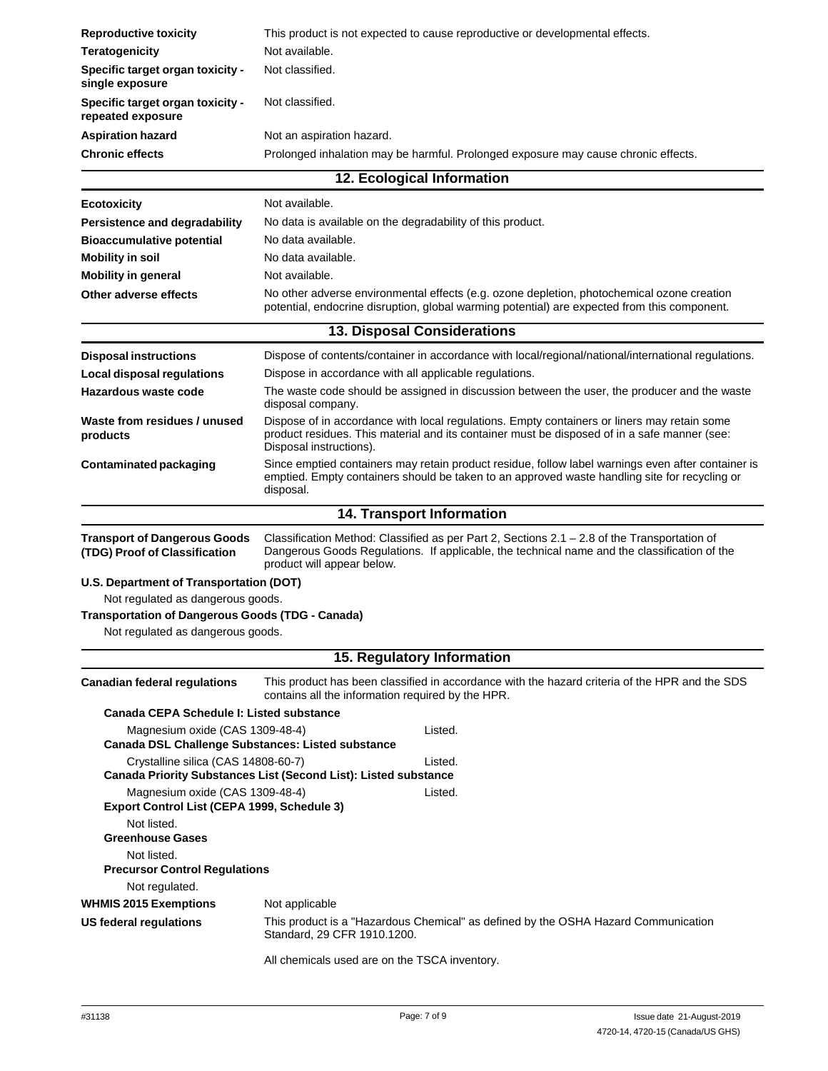| <b>Reproductive toxicity</b>                                                                  | This product is not expected to cause reproductive or developmental effects.                                                                                                                                                 |
|-----------------------------------------------------------------------------------------------|------------------------------------------------------------------------------------------------------------------------------------------------------------------------------------------------------------------------------|
| <b>Teratogenicity</b>                                                                         | Not available.                                                                                                                                                                                                               |
| Specific target organ toxicity -<br>single exposure                                           | Not classified.                                                                                                                                                                                                              |
| Specific target organ toxicity -<br>repeated exposure                                         | Not classified.                                                                                                                                                                                                              |
| <b>Aspiration hazard</b>                                                                      | Not an aspiration hazard.                                                                                                                                                                                                    |
| <b>Chronic effects</b>                                                                        | Prolonged inhalation may be harmful. Prolonged exposure may cause chronic effects.                                                                                                                                           |
|                                                                                               | 12. Ecological Information                                                                                                                                                                                                   |
| <b>Ecotoxicity</b>                                                                            | Not available.                                                                                                                                                                                                               |
| Persistence and degradability                                                                 | No data is available on the degradability of this product.                                                                                                                                                                   |
| <b>Bioaccumulative potential</b>                                                              | No data available.                                                                                                                                                                                                           |
| <b>Mobility in soil</b>                                                                       | No data available.                                                                                                                                                                                                           |
| <b>Mobility in general</b>                                                                    | Not available.                                                                                                                                                                                                               |
| Other adverse effects                                                                         | No other adverse environmental effects (e.g. ozone depletion, photochemical ozone creation<br>potential, endocrine disruption, global warming potential) are expected from this component.                                   |
|                                                                                               | <b>13. Disposal Considerations</b>                                                                                                                                                                                           |
| <b>Disposal instructions</b>                                                                  | Dispose of contents/container in accordance with local/regional/national/international regulations.                                                                                                                          |
| Local disposal regulations                                                                    | Dispose in accordance with all applicable regulations.                                                                                                                                                                       |
| Hazardous waste code                                                                          | The waste code should be assigned in discussion between the user, the producer and the waste<br>disposal company.                                                                                                            |
| Waste from residues / unused<br>products                                                      | Dispose of in accordance with local regulations. Empty containers or liners may retain some<br>product residues. This material and its container must be disposed of in a safe manner (see:<br>Disposal instructions).       |
| <b>Contaminated packaging</b>                                                                 | Since emptied containers may retain product residue, follow label warnings even after container is<br>emptied. Empty containers should be taken to an approved waste handling site for recycling or<br>disposal.             |
|                                                                                               | 14. Transport Information                                                                                                                                                                                                    |
| <b>Transport of Dangerous Goods</b><br>(TDG) Proof of Classification                          | Classification Method: Classified as per Part 2, Sections $2.1 - 2.8$ of the Transportation of<br>Dangerous Goods Regulations. If applicable, the technical name and the classification of the<br>product will appear below. |
| U.S. Department of Transportation (DOT)                                                       |                                                                                                                                                                                                                              |
| Not regulated as dangerous goods.                                                             |                                                                                                                                                                                                                              |
|                                                                                               |                                                                                                                                                                                                                              |
| <b>Transportation of Dangerous Goods (TDG - Canada)</b>                                       |                                                                                                                                                                                                                              |
| Not regulated as dangerous goods.                                                             |                                                                                                                                                                                                                              |
|                                                                                               | 15. Regulatory Information                                                                                                                                                                                                   |
| <b>Canadian federal regulations</b>                                                           | This product has been classified in accordance with the hazard criteria of the HPR and the SDS<br>contains all the information required by the HPR.                                                                          |
| Canada CEPA Schedule I: Listed substance                                                      |                                                                                                                                                                                                                              |
| Magnesium oxide (CAS 1309-48-4)<br><b>Canada DSL Challenge Substances: Listed substance</b>   | Listed.                                                                                                                                                                                                                      |
| Crystalline silica (CAS 14808-60-7)                                                           | Listed.<br>Canada Priority Substances List (Second List): Listed substance                                                                                                                                                   |
| Magnesium oxide (CAS 1309-48-4)<br>Export Control List (CEPA 1999, Schedule 3)<br>Not listed. | Listed.                                                                                                                                                                                                                      |
| <b>Greenhouse Gases</b>                                                                       |                                                                                                                                                                                                                              |
| Not listed.                                                                                   |                                                                                                                                                                                                                              |
| <b>Precursor Control Regulations</b><br>Not regulated.                                        |                                                                                                                                                                                                                              |
| <b>WHMIS 2015 Exemptions</b>                                                                  | Not applicable                                                                                                                                                                                                               |
| US federal regulations                                                                        | This product is a "Hazardous Chemical" as defined by the OSHA Hazard Communication<br>Standard, 29 CFR 1910.1200.                                                                                                            |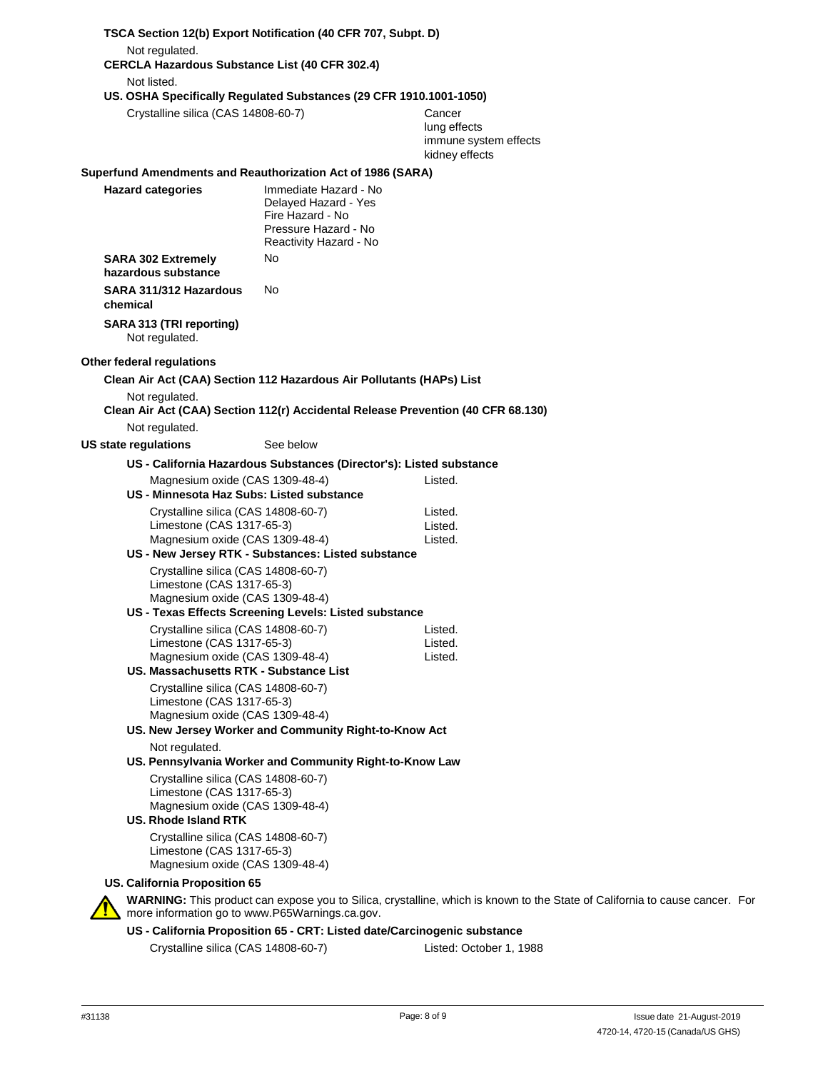|                                                                                                     | TSCA Section 12(b) Export Notification (40 CFR 707, Subpt. D)                                                       |                                                                                                                             |  |
|-----------------------------------------------------------------------------------------------------|---------------------------------------------------------------------------------------------------------------------|-----------------------------------------------------------------------------------------------------------------------------|--|
| Not regulated.<br><b>CERCLA Hazardous Substance List (40 CFR 302.4)</b>                             |                                                                                                                     |                                                                                                                             |  |
| Not listed.                                                                                         |                                                                                                                     |                                                                                                                             |  |
| Crystalline silica (CAS 14808-60-7)                                                                 | US. OSHA Specifically Regulated Substances (29 CFR 1910.1001-1050)                                                  | Cancer<br>lung effects<br>immune system effects<br>kidney effects                                                           |  |
|                                                                                                     | Superfund Amendments and Reauthorization Act of 1986 (SARA)                                                         |                                                                                                                             |  |
| <b>Hazard categories</b>                                                                            | Immediate Hazard - No<br>Delayed Hazard - Yes<br>Fire Hazard - No<br>Pressure Hazard - No<br>Reactivity Hazard - No |                                                                                                                             |  |
| <b>SARA 302 Extremely</b><br>hazardous substance                                                    | No                                                                                                                  |                                                                                                                             |  |
| SARA 311/312 Hazardous<br>chemical                                                                  | No                                                                                                                  |                                                                                                                             |  |
| SARA 313 (TRI reporting)<br>Not regulated.                                                          |                                                                                                                     |                                                                                                                             |  |
| Other federal regulations                                                                           |                                                                                                                     |                                                                                                                             |  |
|                                                                                                     | Clean Air Act (CAA) Section 112 Hazardous Air Pollutants (HAPs) List                                                |                                                                                                                             |  |
| Not regulated.                                                                                      | Clean Air Act (CAA) Section 112(r) Accidental Release Prevention (40 CFR 68.130)                                    |                                                                                                                             |  |
| Not regulated.                                                                                      |                                                                                                                     |                                                                                                                             |  |
| US state regulations                                                                                | See below                                                                                                           |                                                                                                                             |  |
|                                                                                                     | US - California Hazardous Substances (Director's): Listed substance                                                 |                                                                                                                             |  |
| Magnesium oxide (CAS 1309-48-4)<br>US - Minnesota Haz Subs: Listed substance                        |                                                                                                                     | Listed.                                                                                                                     |  |
| Crystalline silica (CAS 14808-60-7)                                                                 |                                                                                                                     | Listed.                                                                                                                     |  |
| Limestone (CAS 1317-65-3)                                                                           |                                                                                                                     | Listed.                                                                                                                     |  |
| Magnesium oxide (CAS 1309-48-4)                                                                     |                                                                                                                     | Listed.                                                                                                                     |  |
|                                                                                                     | US - New Jersey RTK - Substances: Listed substance                                                                  |                                                                                                                             |  |
| Crystalline silica (CAS 14808-60-7)<br>Limestone (CAS 1317-65-3)<br>Magnesium oxide (CAS 1309-48-4) |                                                                                                                     |                                                                                                                             |  |
|                                                                                                     | US - Texas Effects Screening Levels: Listed substance                                                               |                                                                                                                             |  |
| Crystalline silica (CAS 14808-60-7)<br>Limestone (CAS 1317-65-3)                                    |                                                                                                                     | Listed.<br>Listed.                                                                                                          |  |
| Magnesium oxide (CAS 1309-48-4)                                                                     |                                                                                                                     | Listed.                                                                                                                     |  |
| US. Massachusetts RTK - Substance List                                                              |                                                                                                                     |                                                                                                                             |  |
| Crystalline silica (CAS 14808-60-7)<br>Limestone (CAS 1317-65-3)<br>Magnesium oxide (CAS 1309-48-4) |                                                                                                                     |                                                                                                                             |  |
|                                                                                                     | US. New Jersey Worker and Community Right-to-Know Act                                                               |                                                                                                                             |  |
| Not regulated.                                                                                      | US. Pennsylvania Worker and Community Right-to-Know Law                                                             |                                                                                                                             |  |
| Crystalline silica (CAS 14808-60-7)<br>Limestone (CAS 1317-65-3)<br>Magnesium oxide (CAS 1309-48-4) |                                                                                                                     |                                                                                                                             |  |
| US. Rhode Island RTK                                                                                |                                                                                                                     |                                                                                                                             |  |
| Crystalline silica (CAS 14808-60-7)<br>Limestone (CAS 1317-65-3)<br>Magnesium oxide (CAS 1309-48-4) |                                                                                                                     |                                                                                                                             |  |
| US. California Proposition 65                                                                       |                                                                                                                     |                                                                                                                             |  |
| more information go to www.P65Warnings.ca.gov.                                                      |                                                                                                                     | WARNING: This product can expose you to Silica, crystalline, which is known to the State of California to cause cancer. For |  |
|                                                                                                     | US - California Proposition 65 - CRT: Listed date/Carcinogenic substance                                            |                                                                                                                             |  |

Crystalline silica (CAS 14808-60-7) Listed: October 1, 1988